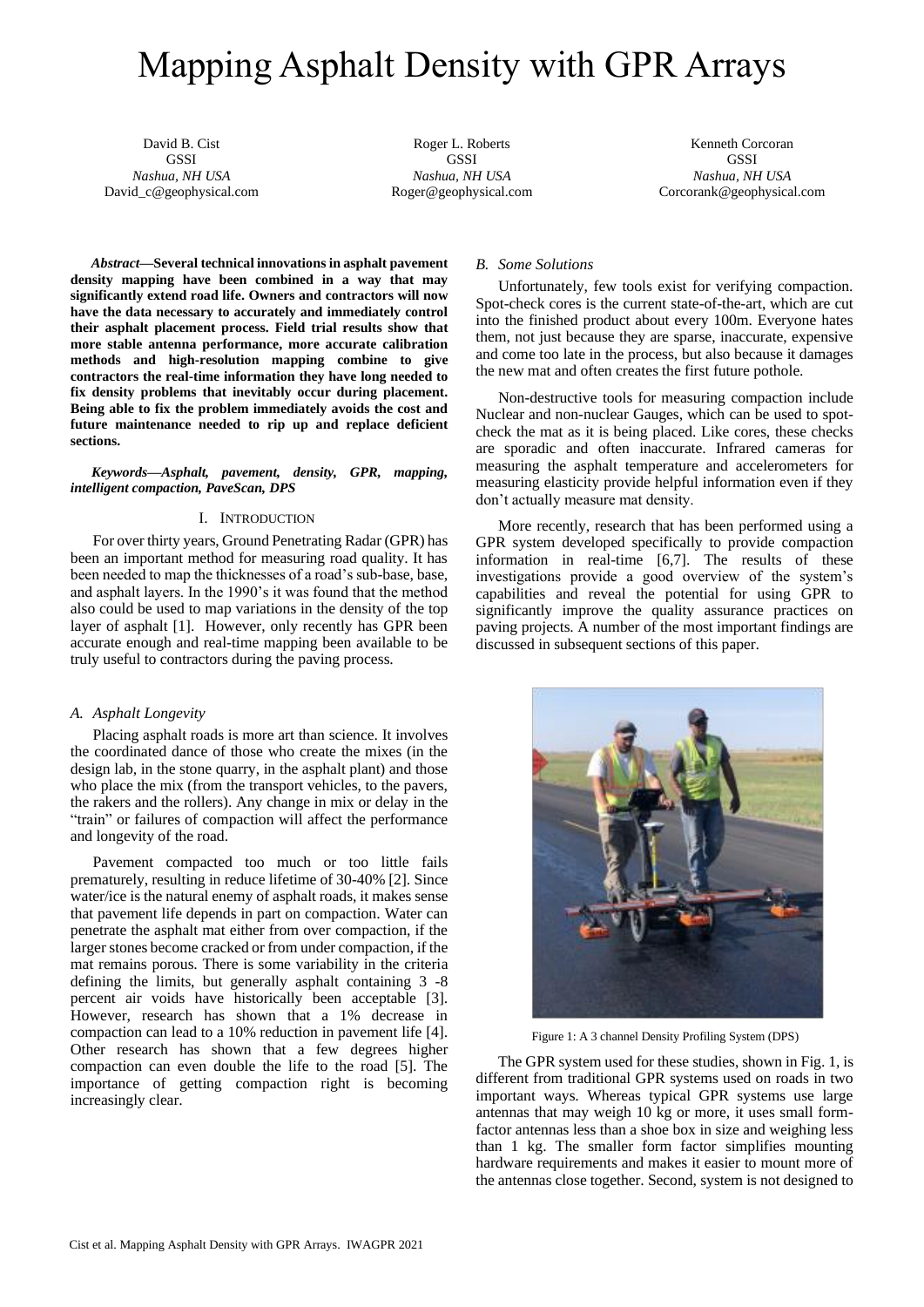# Mapping Asphalt Density with GPR Arrays

David B. Cist **GSSI** *Nashua, NH USA* David\_c@geophysical.com

Roger L. Roberts **GSSI** *Nashua, NH USA* Roger@geophysical.com

Kenneth Corcoran **GSSI** *Nashua, NH USA* Corcorank@geophysical.com

*Abstract***—Several technical innovations in asphalt pavement density mapping have been combined in a way that may significantly extend road life. Owners and contractors will now have the data necessary to accurately and immediately control their asphalt placement process. Field trial results show that more stable antenna performance, more accurate calibration methods and high-resolution mapping combine to give contractors the real-time information they have long needed to fix density problems that inevitably occur during placement. Being able to fix the problem immediately avoids the cost and future maintenance needed to rip up and replace deficient sections.** 

*Keywords—Asphalt, pavement, density, GPR, mapping, intelligent compaction, PaveScan, DPS*

## I. INTRODUCTION

For over thirty years, Ground Penetrating Radar (GPR) has been an important method for measuring road quality. It has been needed to map the thicknesses of a road's sub-base, base, and asphalt layers. In the 1990's it was found that the method also could be used to map variations in the density of the top layer of asphalt [1]. However, only recently has GPR been accurate enough and real-time mapping been available to be truly useful to contractors during the paving process.

#### *A. Asphalt Longevity*

Placing asphalt roads is more art than science. It involves the coordinated dance of those who create the mixes (in the design lab, in the stone quarry, in the asphalt plant) and those who place the mix (from the transport vehicles, to the pavers, the rakers and the rollers). Any change in mix or delay in the "train" or failures of compaction will affect the performance and longevity of the road.

Pavement compacted too much or too little fails prematurely, resulting in reduce lifetime of 30-40% [2]. Since water/ice is the natural enemy of asphalt roads, it makes sense that pavement life depends in part on compaction. Water can penetrate the asphalt mat either from over compaction, if the larger stones become cracked or from under compaction, if the mat remains porous. There is some variability in the criteria defining the limits, but generally asphalt containing 3 -8 percent air voids have historically been acceptable [3]. However, research has shown that a 1% decrease in compaction can lead to a 10% reduction in pavement life [4]. Other research has shown that a few degrees higher compaction can even double the life to the road [5]. The importance of getting compaction right is becoming increasingly clear.

## *B. Some Solutions*

Unfortunately, few tools exist for verifying compaction. Spot-check cores is the current state-of-the-art, which are cut into the finished product about every 100m. Everyone hates them, not just because they are sparse, inaccurate, expensive and come too late in the process, but also because it damages the new mat and often creates the first future pothole.

Non-destructive tools for measuring compaction include Nuclear and non-nuclear Gauges, which can be used to spotcheck the mat as it is being placed. Like cores, these checks are sporadic and often inaccurate. Infrared cameras for measuring the asphalt temperature and accelerometers for measuring elasticity provide helpful information even if they don't actually measure mat density.

More recently, research that has been performed using a GPR system developed specifically to provide compaction information in real-time [6,7]. The results of these investigations provide a good overview of the system's capabilities and reveal the potential for using GPR to significantly improve the quality assurance practices on paving projects. A number of the most important findings are discussed in subsequent sections of this paper.



Figure 1: A 3 channel Density Profiling System (DPS)

The GPR system used for these studies, shown in Fig. 1, is different from traditional GPR systems used on roads in two important ways. Whereas typical GPR systems use large antennas that may weigh 10 kg or more, it uses small formfactor antennas less than a shoe box in size and weighing less than 1 kg. The smaller form factor simplifies mounting hardware requirements and makes it easier to mount more of the antennas close together. Second, system is not designed to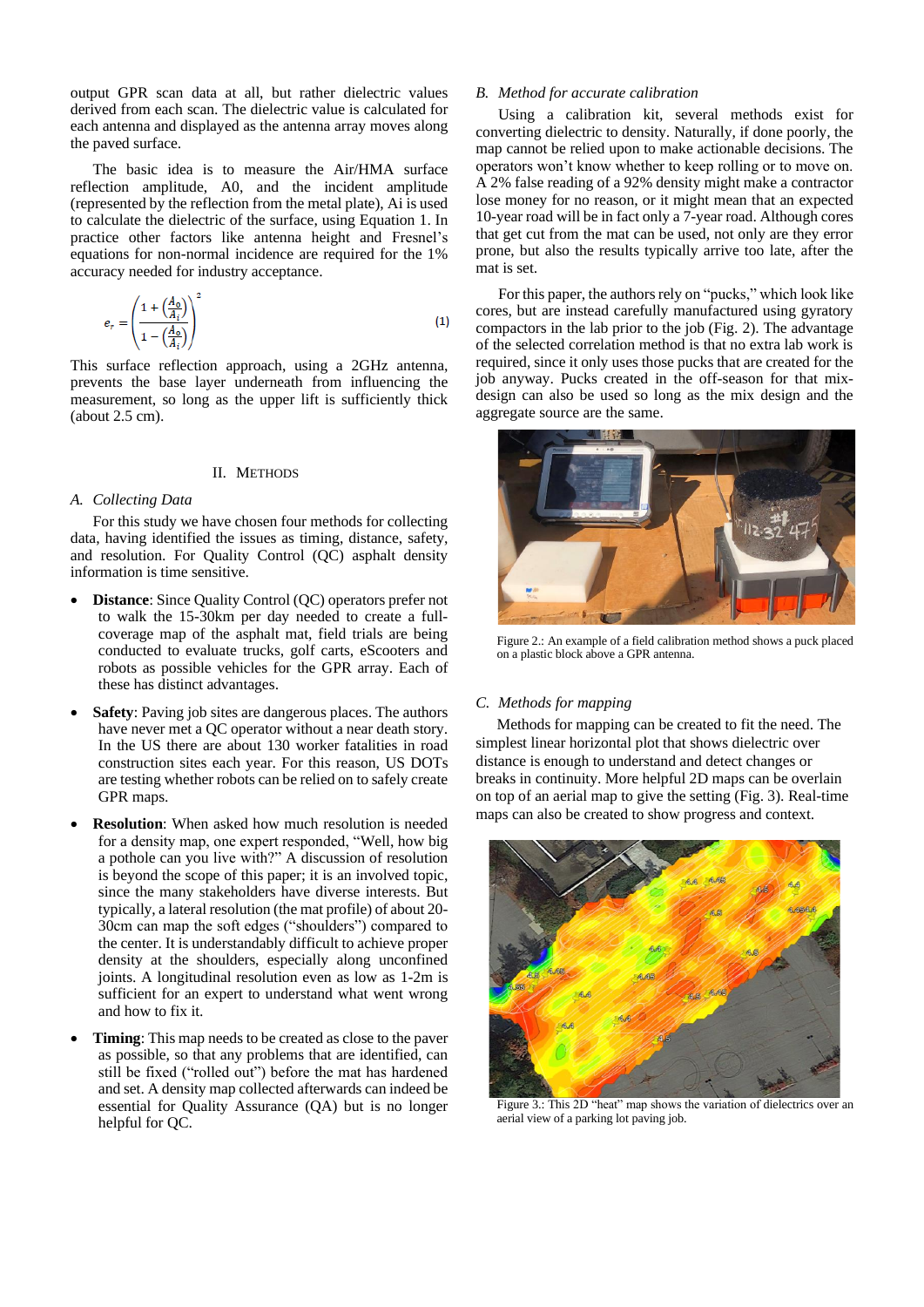output GPR scan data at all, but rather dielectric values derived from each scan. The dielectric value is calculated for each antenna and displayed as the antenna array moves along the paved surface.

The basic idea is to measure the Air/HMA surface reflection amplitude, A0, and the incident amplitude (represented by the reflection from the metal plate), Ai is used to calculate the dielectric of the surface, using Equation 1. In practice other factors like antenna height and Fresnel's equations for non-normal incidence are required for the 1% accuracy needed for industry acceptance.

$$
e_r = \left(\frac{1 + \left(\frac{A_0}{A_i}\right)}{1 - \left(\frac{A_0}{A_i}\right)}\right)^2\tag{1}
$$

This surface reflection approach, using a 2GHz antenna, prevents the base layer underneath from influencing the measurement, so long as the upper lift is sufficiently thick (about 2.5 cm).

## II. METHODS

## *A. Collecting Data*

For this study we have chosen four methods for collecting data, having identified the issues as timing, distance, safety, and resolution. For Quality Control (QC) asphalt density information is time sensitive.

- **Distance:** Since Quality Control (QC) operators prefer not to walk the 15-30km per day needed to create a fullcoverage map of the asphalt mat, field trials are being conducted to evaluate trucks, golf carts, eScooters and robots as possible vehicles for the GPR array. Each of these has distinct advantages.
- **Safety**: Paving job sites are dangerous places. The authors have never met a QC operator without a near death story. In the US there are about 130 worker fatalities in road construction sites each year. For this reason, US DOTs are testing whether robots can be relied on to safely create GPR maps.
- **Resolution**: When asked how much resolution is needed for a density map, one expert responded, "Well, how big a pothole can you live with?" A discussion of resolution is beyond the scope of this paper; it is an involved topic, since the many stakeholders have diverse interests. But typically, a lateral resolution (the mat profile) of about 20- 30cm can map the soft edges ("shoulders") compared to the center. It is understandably difficult to achieve proper density at the shoulders, especially along unconfined joints. A longitudinal resolution even as low as 1-2m is sufficient for an expert to understand what went wrong and how to fix it.
- **Timing**: This map needs to be created as close to the paver as possible, so that any problems that are identified, can still be fixed ("rolled out") before the mat has hardened and set. A density map collected afterwards can indeed be essential for Quality Assurance (QA) but is no longer helpful for QC.

## *B. Method for accurate calibration*

Using a calibration kit, several methods exist for converting dielectric to density. Naturally, if done poorly, the map cannot be relied upon to make actionable decisions. The operators won't know whether to keep rolling or to move on. A 2% false reading of a 92% density might make a contractor lose money for no reason, or it might mean that an expected 10-year road will be in fact only a 7-year road. Although cores that get cut from the mat can be used, not only are they error prone, but also the results typically arrive too late, after the mat is set.

For this paper, the authors rely on "pucks," which look like cores, but are instead carefully manufactured using gyratory compactors in the lab prior to the job (Fig. 2). The advantage of the selected correlation method is that no extra lab work is required, since it only uses those pucks that are created for the job anyway. Pucks created in the off-season for that mixdesign can also be used so long as the mix design and the aggregate source are the same.



Figure 2.: An example of a field calibration method shows a puck placed on a plastic block above a GPR antenna.

## *C. Methods for mapping*

Methods for mapping can be created to fit the need. The simplest linear horizontal plot that shows dielectric over distance is enough to understand and detect changes or breaks in continuity. More helpful 2D maps can be overlain on top of an aerial map to give the setting (Fig. 3). Real-time maps can also be created to show progress and context.



Figure 3.: This 2D "heat" map shows the variation of dielectrics over an aerial view of a parking lot paving job.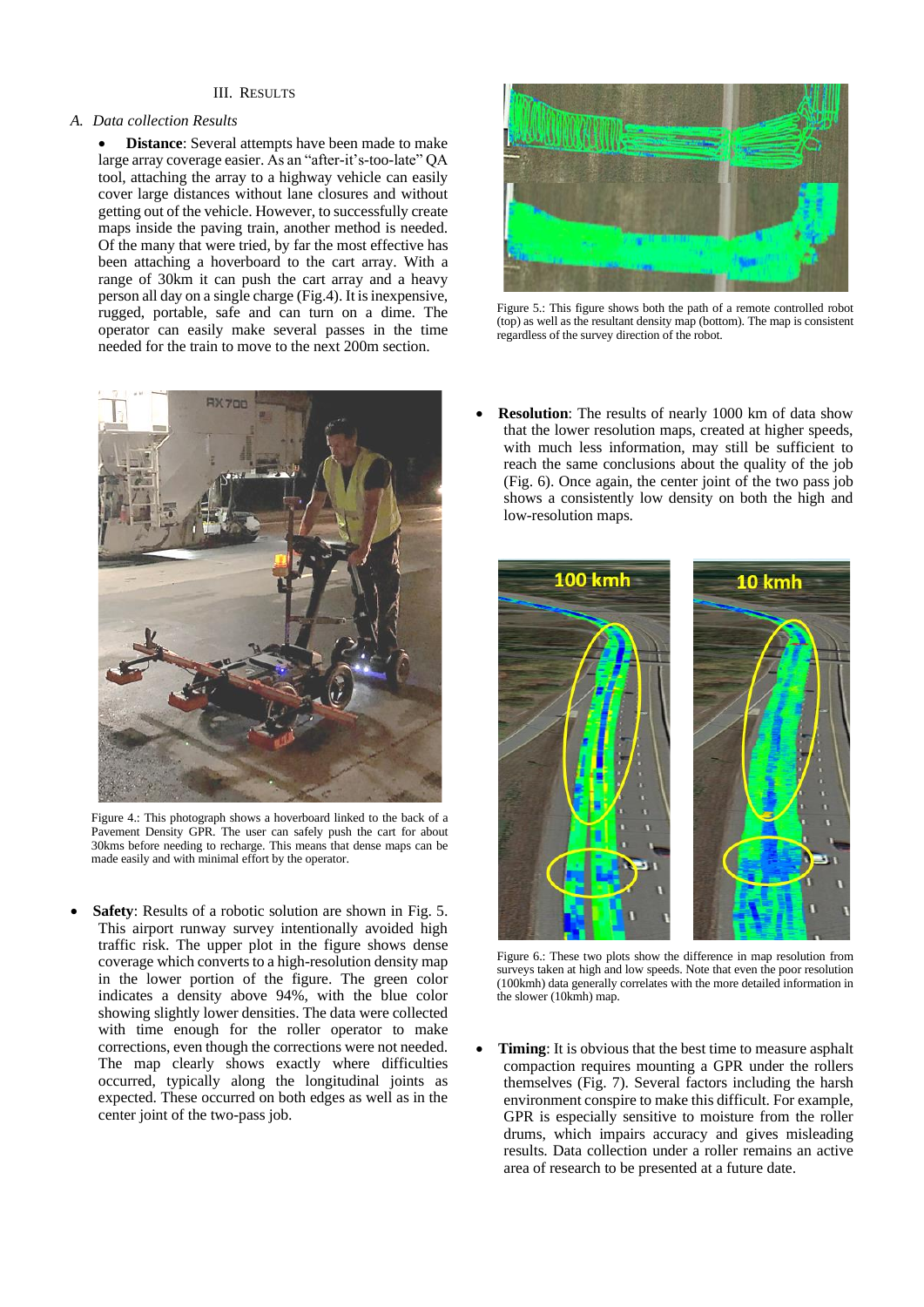## III. RESULTS

## *A. Data collection Results*

**Distance**: Several attempts have been made to make large array coverage easier. As an "after-it's-too-late" QA tool, attaching the array to a highway vehicle can easily cover large distances without lane closures and without getting out of the vehicle. However, to successfully create maps inside the paving train, another method is needed. Of the many that were tried, by far the most effective has been attaching a hoverboard to the cart array. With a range of 30km it can push the cart array and a heavy person all day on a single charge (Fig.4). It is inexpensive, rugged, portable, safe and can turn on a dime. The operator can easily make several passes in the time needed for the train to move to the next 200m section.



Figure 4.: This photograph shows a hoverboard linked to the back of a Pavement Density GPR. The user can safely push the cart for about 30kms before needing to recharge. This means that dense maps can be made easily and with minimal effort by the operator.

**Safety**: Results of a robotic solution are shown in Fig. 5. This airport runway survey intentionally avoided high traffic risk. The upper plot in the figure shows dense coverage which converts to a high-resolution density map in the lower portion of the figure. The green color indicates a density above 94%, with the blue color showing slightly lower densities. The data were collected with time enough for the roller operator to make corrections, even though the corrections were not needed. The map clearly shows exactly where difficulties occurred, typically along the longitudinal joints as expected. These occurred on both edges as well as in the center joint of the two-pass job.



Figure 5.: This figure shows both the path of a remote controlled robot (top) as well as the resultant density map (bottom). The map is consistent regardless of the survey direction of the robot.

**Resolution**: The results of nearly 1000 km of data show that the lower resolution maps, created at higher speeds, with much less information, may still be sufficient to reach the same conclusions about the quality of the job (Fig. 6). Once again, the center joint of the two pass job shows a consistently low density on both the high and low-resolution maps.



Figure 6.: These two plots show the difference in map resolution from surveys taken at high and low speeds. Note that even the poor resolution (100kmh) data generally correlates with the more detailed information in the slower (10kmh) map.

**Timing**: It is obvious that the best time to measure asphalt compaction requires mounting a GPR under the rollers themselves (Fig. 7). Several factors including the harsh environment conspire to make this difficult. For example, GPR is especially sensitive to moisture from the roller drums, which impairs accuracy and gives misleading results. Data collection under a roller remains an active area of research to be presented at a future date.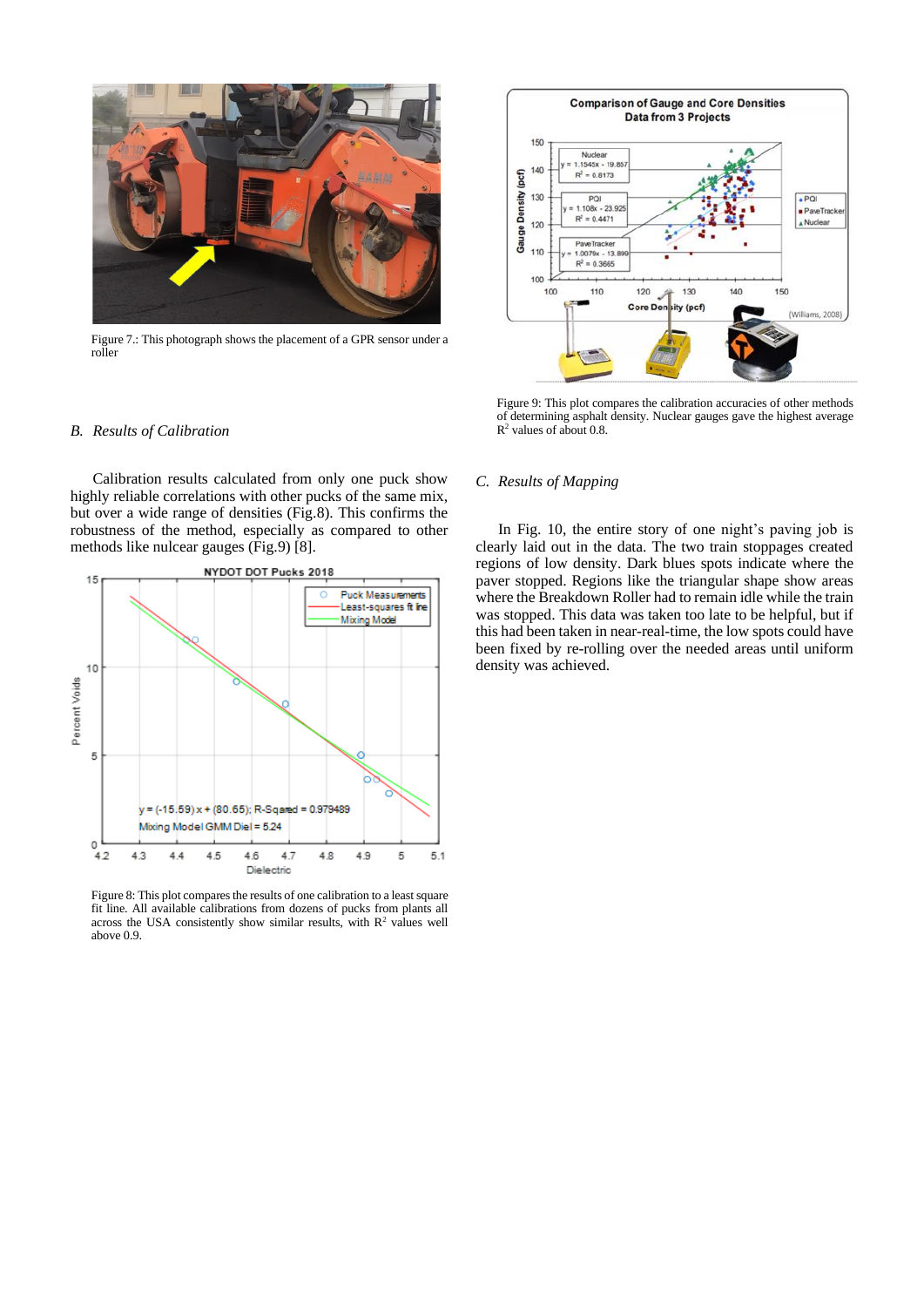

Figure 7.: This photograph shows the placement of a GPR sensor under a roller

## *B. Results of Calibration*

Calibration results calculated from only one puck show highly reliable correlations with other pucks of the same mix, but over a wide range of densities (Fig.8). This confirms the robustness of the method, especially as compared to other methods like nulcear gauges (Fig.9) [8].



Figure 8: This plot compares the results of one calibration to a least square fit line. All available calibrations from dozens of pucks from plants all across the USA consistently show similar results, with  $R^2$  values well above 0.9.



Figure 9: This plot compares the calibration accuracies of other methods of determining asphalt density. Nuclear gauges gave the highest average R <sup>2</sup> values of about 0.8.

## *C. Results of Mapping*

In Fig. 10, the entire story of one night's paving job is clearly laid out in the data. The two train stoppages created regions of low density. Dark blues spots indicate where the paver stopped. Regions like the triangular shape show areas where the Breakdown Roller had to remain idle while the train was stopped. This data was taken too late to be helpful, but if this had been taken in near-real-time, the low spots could have been fixed by re-rolling over the needed areas until uniform density was achieved.